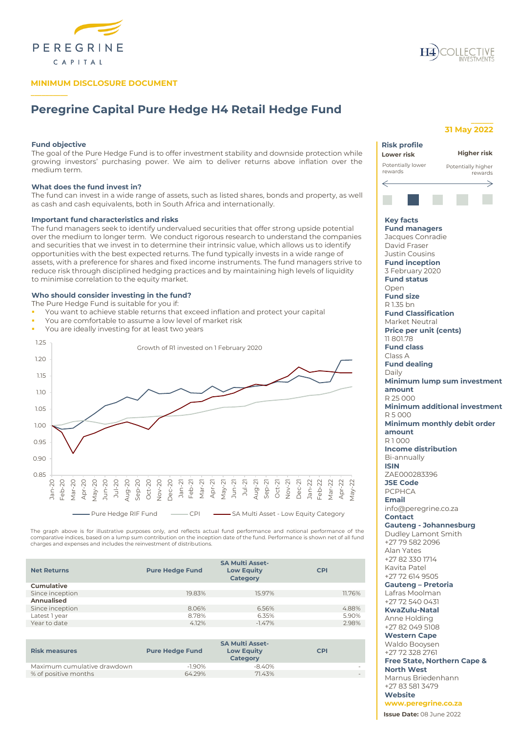

# **MINIMUM DISCLOSURE DOCUMENT**

# **Peregrine Capital Pure Hedge H4 Retail Hedge Fund**

# **Fund objective**

**\_\_\_\_\_\_\_\_\_\_**

The goal of the Pure Hedge Fund is to offer investment stability and downside protection while growing investors' purchasing power. We aim to deliver returns above inflation over the medium term.

# **What does the fund invest in?**

The fund can invest in a wide range of assets, such as listed shares, bonds and property, as well as cash and cash equivalents, both in South Africa and internationally.

#### **Important fund characteristics and risks**

The fund managers seek to identify undervalued securities that offer strong upside potential over the medium to longer term. We conduct rigorous research to understand the companies and securities that we invest in to determine their intrinsic value, which allows us to identify opportunities with the best expected returns. The fund typically invests in a wide range of assets, with a preference for shares and fixed income instruments. The fund managers strive to reduce risk through disciplined hedging practices and by maintaining high levels of liquidity to minimise correlation to the equity market.

#### **Who should consider investing in the fund?**

The Pure Hedge Fund is suitable for you if:

- You want to achieve stable returns that exceed inflation and protect your capital
- You are comfortable to assume a low level of market risk
- You are ideally investing for at least two years



The graph above is for illustrative purposes only, and reflects actual fund performance and notional performance of the<br>comparative indices, based on a lump sum contribution on the inception date of the fund. Performance i charges and expenses and includes the reinvestment of distributions.

| <b>Net Returns</b> | <b>SA Multi Asset-</b><br><b>Low Equity</b><br><b>Pure Hedge Fund</b><br>Category |          | <b>CPI</b> |  |
|--------------------|-----------------------------------------------------------------------------------|----------|------------|--|
| <b>Cumulative</b>  |                                                                                   |          |            |  |
| Since inception    | 19.83%                                                                            | 15.97%   | 11.76%     |  |
| Annualised         |                                                                                   |          |            |  |
| Since inception    | 8.06%                                                                             | 6.56%    | 4.88%      |  |
| Latest 1 year      | 8.78%                                                                             | 6.35%    | 5.90%      |  |
| Year to date       | 4.12%                                                                             | $-1.47%$ | 2.98%      |  |
|                    |                                                                                   |          |            |  |

| <b>Risk measures</b>        | <b>Pure Hedge Fund</b> | <b>Low Equity</b><br><b>Category</b> | <b>CPI</b> |
|-----------------------------|------------------------|--------------------------------------|------------|
| Maximum cumulative drawdown | $-1.90%$               | $-840%$                              |            |
| % of positive months        | 64.29%                 | 71.43%                               | $\sim$     |



# **31 May 2022**

**\_\_\_\_\_\_**



**Free State, Northern Cape & North West** Marnus Briedenhann +27 83 581 3479

**Website www.peregrine.co.za**

**Issue Date:** 08 June 2022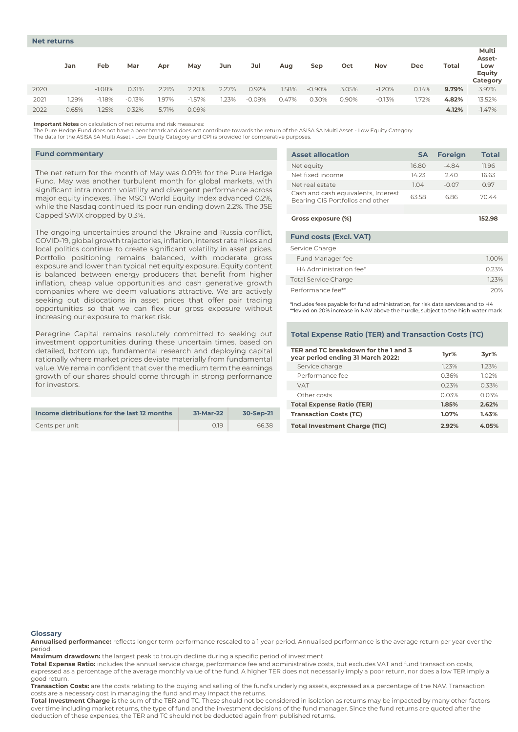|      | Jan      | Feb      | Mar      | Apr   | May      | Jun   | Jul      | Aug   | Sep      | Oct   | Nov      | Dec   | Total | Multi<br>Asset-<br>Low<br>Equity<br>Category |
|------|----------|----------|----------|-------|----------|-------|----------|-------|----------|-------|----------|-------|-------|----------------------------------------------|
| 2020 |          | $-1.08%$ | 0.31%    | 2.21% | 2.20%    | 2.27% | 0.92%    | 1.58% | $-0.90%$ | 3.05% | $-1.20%$ | 0.14% | 9.79% | 3.97%                                        |
| 2021 | .29%     | $-1.18%$ | $-0.13%$ | 1.97% | $-1.57%$ | .23%  | $-0.09%$ | 0.47% | 0.30%    | 0.90% | $-0.13%$ | 1.72% | 4.82% | 13.52%                                       |
| 2022 | $-0.65%$ | $-1.25%$ | 0.32%    | 5.71% | 0.09%    |       |          |       |          |       |          |       | 4.12% | $-1.47%$                                     |

**Important Notes** on calculation of net returns and risk measures:

The Pure Hedge Fund does not have a benchmark and does not contribute towards the return of the ASISA SA Multi Asset - Low Equity Category.

The data for the ASISA SA Multi Asset - Low Equity Category and CPI is provided for comparative purposes.

#### **Fund commentary**

The net return for the month of May was 0.09% for the Pure Hedge Fund. May was another turbulent month for global markets, with significant intra month volatility and divergent performance across major equity indexes. The MSCI World Equity Index advanced 0.2%, while the Nasdaq continued its poor run ending down 2.2%. The JSE Capped SWIX dropped by 0.3%.

The ongoing uncertainties around the Ukraine and Russia conflict, COVID-19, global growth trajectories, inflation, interest rate hikes and local politics continue to create significant volatility in asset prices. Portfolio positioning remains balanced, with moderate gross exposure and lower than typical net equity exposure. Equity content is balanced between energy producers that benefit from higher inflation, cheap value opportunities and cash generative growth companies where we deem valuations attractive. We are actively seeking out dislocations in asset prices that offer pair trading opportunities so that we can flex our gross exposure without increasing our exposure to market risk.

Peregrine Capital remains resolutely committed to seeking out investment opportunities during these uncertain times, based on detailed, bottom up, fundamental research and deploying capital rationally where market prices deviate materially from fundamental value. We remain confident that over the medium term the earnings growth of our shares should come through in strong performance for investors.

| Income distributions for the last 12 months | 31-Mar-22 | 30-Sep-21 | Transactio        |
|---------------------------------------------|-----------|-----------|-------------------|
| Cents per unit                              | 0.19      | 66.38     | <b>Total Inve</b> |

| <b>Asset allocation</b>                                                 | <b>SA</b> | <b>Foreign</b> | <b>Total</b> |
|-------------------------------------------------------------------------|-----------|----------------|--------------|
| Net equity                                                              | 16.80     | $-4.84$        | 11.96        |
| Net fixed income                                                        | 14.23     | 2.40           | 16.63        |
| Net real estate                                                         | 1.04      | $-0.07$        | 0.97         |
| Cash and cash equivalents, Interest<br>Bearing CIS Portfolios and other | 63.58     | 6.86           | 70.44        |
|                                                                         |           |                |              |
| Gross exposure (%)                                                      |           |                | 152.98       |
| <b>Fund costs (Excl. VAT)</b>                                           |           |                |              |
| Service Charge                                                          |           |                |              |
| Fund Manager fee                                                        |           |                | 1.00%        |
| H4 Administration fee*                                                  |           |                | 0.23%        |
| <b>Total Service Charge</b>                                             |           |                | 1.23%        |
| Performance fee**                                                       |           |                | 20%          |

\*Includes fees payable for fund administration, for risk data services and to H4 \*\*levied on 20% increase in NAV above the hurdle, subject to the high water mark

## **Total Expense Ratio (TER) and Transaction Costs (TC)**

| TER and TC breakdown for the 1 and 3<br>year period ending 31 March 2022: | 1yr%     | 3yr%  |
|---------------------------------------------------------------------------|----------|-------|
| Service charge                                                            | 123%     | 1.23% |
| Performance fee                                                           | 0.36%    | 102%  |
| <b>VAT</b>                                                                | 0.23%    | 0.33% |
| Other costs                                                               | 0.03%    | 0.03% |
| <b>Total Expense Ratio (TER)</b>                                          | 1.85%    | 2.62% |
| <b>Transaction Costs (TC)</b>                                             | $1.07\%$ | 1.43% |
| <b>Total Investment Charge (TIC)</b>                                      | 2.92%    | 4.05% |

#### **Glossary**

**Annualised performance:** reflects longer term performance rescaled to a 1 year period. Annualised performance is the average return per year over the period.

**Maximum drawdown:** the largest peak to trough decline during a specific period of investment

**Total Expense Ratio:** includes the annual service charge, performance fee and administrative costs, but excludes VAT and fund transaction costs,

expressed as a percentage of the average monthly value of the fund. A higher TER does not necessarily imply a poor return, nor does a low TER imply a good return.

**Transaction Costs:** are the costs relating to the buying and selling of the fund's underlying assets, expressed as a percentage of the NAV. Transaction costs are a necessary cost in managing the fund and may impact the returns.

**Total Investment Charge** is the sum of the TER and TC. These should not be considered in isolation as returns may be impacted by many other factors over time including market returns, the type of fund and the investment decisions of the fund manager. Since the fund returns are quoted after the deduction of these expenses, the TER and TC should not be deducted again from published returns.